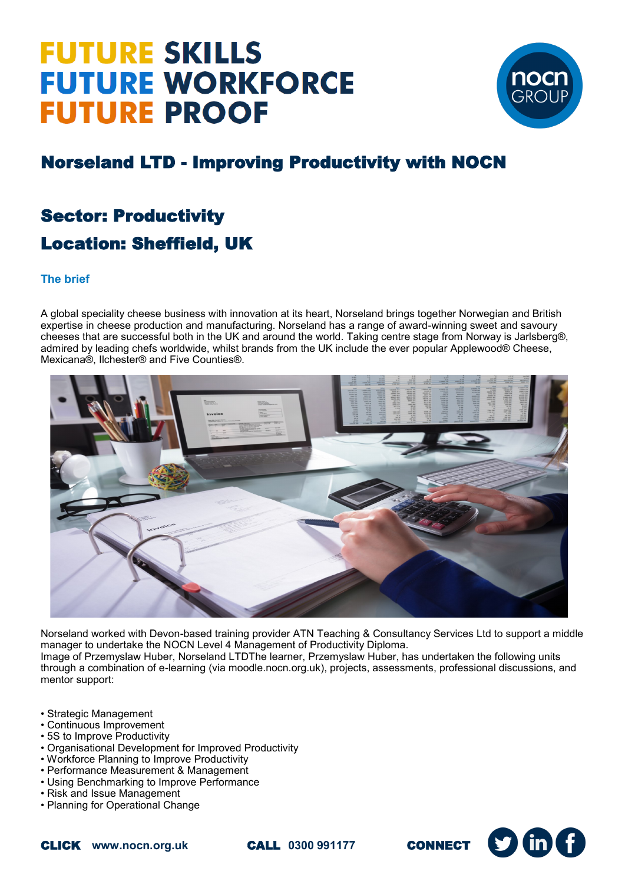# **FUTURE SKILLS FUTURE WORKFORCE FUTURE PROOF**



S

### Norseland LTD - Improving Productivity with NOCN

### Sector: Productivity Location: Sheffield, UK

#### **The brief**

A global speciality cheese business with innovation at its heart, Norseland brings together Norwegian and British expertise in cheese production and manufacturing. Norseland has a range of award-winning sweet and savoury cheeses that are successful both in the UK and around the world. Taking centre stage from Norway is Jarlsberg®, admired by leading chefs worldwide, whilst brands from the UK include the ever popular Applewood® Cheese, Mexicana®, Ilchester® and Five Counties®.



Norseland worked with Devon-based training provider ATN Teaching & Consultancy Services Ltd to support a middle manager to undertake the NOCN Level 4 Management of Productivity Diploma. Image of Przemyslaw Huber, Norseland LTDThe learner, Przemyslaw Huber, has undertaken the following units through a combination of e-learning (via moodle.nocn.org.uk), projects, assessments, professional discussions, and mentor support:

- Strategic Management
- Continuous Improvement
- 5S to Improve Productivity
- Organisational Development for Improved Productivity
- Workforce Planning to Improve Productivity
- Performance Measurement & Management
- Using Benchmarking to Improve Performance
- Risk and Issue Management
- Planning for Operational Change